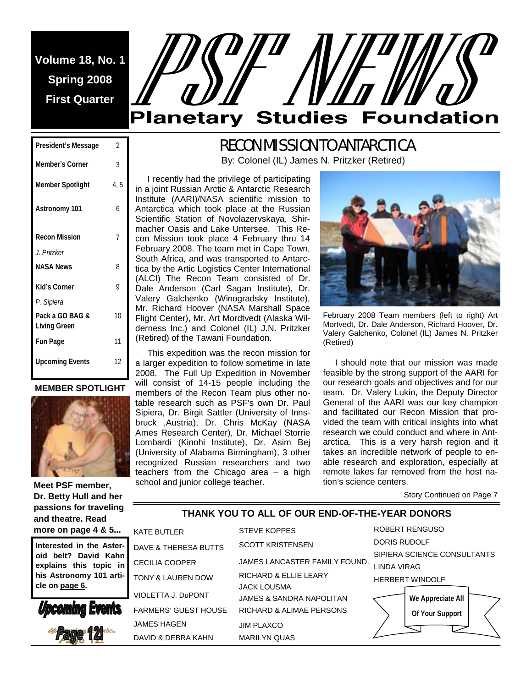**Volume 18, No. 1 Spring 2008 First Quarter** 

# **Planetary Studies Foundation**

# RECON MISSION TO ANTARCTICA

By: Colonel (IL) James N. Pritzker (Retired)

**President's Message** 2 **Member's Corner** 3 **Member Spotlight** 4, 5 **Astronomy 101** 6 **Recon Mission**  *J. Pritzker*  7 **NASA News** 8 **Kid's Corner**  *P. Sipiera*  9 **Pack a GO BAG & Living Green**  10 **Fun Page** 11 **Upcoming Events** 12

**MEMBER SPOTLIGHT** 



**Meet PSF member, Dr. Betty Hull and her passions for traveling and theatre. Read more on page 4 & 5...** 

Interested in the Aster oid belt? David Kah **explains this topic** his Astronomy 101 art **cle on page 6.** 





 I recently had the privilege of participating in a joint Russian Arctic & Antarctic Research Institute (AARI)/NASA scientific mission to Antarctica which took place at the Russian Scientific Station of Novolazervskaya, Shirmacher Oasis and Lake Untersee. This Recon Mission took place 4 February thru 14 February 2008. The team met in Cape Town, South Africa, and was transported to Antarctica by the Artic Logistics Center International (ALCI) The Recon Team consisted of Dr. Dale Anderson (Carl Sagan Institute), Dr. Valery Galchenko (Winogradsky Institute), Mr. Richard Hoover (NASA Marshall Space Flight Center), Mr. Art Mordtvedt (Alaska Wilderness Inc.) and Colonel (IL) J.N. Pritzker (Retired) of the Tawani Foundation.

 This expedition was the recon mission for a larger expedition to follow sometime in late 2008. The Full Up Expedition in November will consist of 14-15 people including the members of the Recon Team plus other notable research such as PSF's own Dr. Paul Sipiera, Dr. Birgit Sattler (University of Innsbruck ,Austria), Dr. Chris McKay (NASA Ames Research Center), Dr. Michael Storrie Lombardi (Kinohi Institute), Dr. Asim Bej (University of Alabama Birmingham), 3 other recognized Russian researchers and two teachers from the Chicago area – a high school and junior college teacher.



February 2008 Team members (left to right) Art Mortvedt, Dr. Dale Anderson, Richard Hoover, Dr. Valery Galchenko, Colonel (IL) James N. Pritzker (Retired)

 I should note that our mission was made feasible by the strong support of the AARI for our research goals and objectives and for our team. Dr. Valery Lukin, the Deputy Director General of the AARI was our key champion and facilitated our Recon Mission that provided the team with critical insights into what research we could conduct and where in Antarctica. This is a very harsh region and it takes an incredible network of people to enable research and exploration, especially at remote lakes far removed from the host nation's science centers.

Story Continued on Page 7

### **THANK YOU TO ALL OF OUR END-OF-THE-YEAR DONORS**

| ٠     | <b>KATE BUTLER</b>              | <b>STEVE KOPPES</b>              | <b>ROBERT RENGUSO</b>       |
|-------|---------------------------------|----------------------------------|-----------------------------|
| r- I  | <b>DAVE &amp; THERESA BUTTS</b> | <b>SCOTT KRISTENSEN</b>          | <b>DORIS RUDOLF</b>         |
| ın    |                                 |                                  | SIPIERA SCIENCE CONSULTANTS |
| in    | <b>CECILIA COOPER</b>           | JAMES LANCASTER FAMILY FOUND.    | <b>LINDA VIRAG</b>          |
| 'i- I | TONY & LAUREN DOW               | <b>RICHARD &amp; ELLIE LEARY</b> | <b>HERBERT WINDOLF</b>      |
|       | VIOLETTA J. DuPONT              | <b>JACK LOUSMA</b>               |                             |
|       |                                 | JAMES & SANDRA NAPOLITAN         | We Appreciate All           |
|       | <b>FARMERS' GUEST HOUSE</b>     | RICHARD & ALIMAE PERSONS         | Of Your Support             |
|       | JAMES HAGEN                     | <b>JIM PLAXCO</b>                |                             |
|       | DAVID & DEBRA KAHN              | <b>MARILYN QUAS</b>              |                             |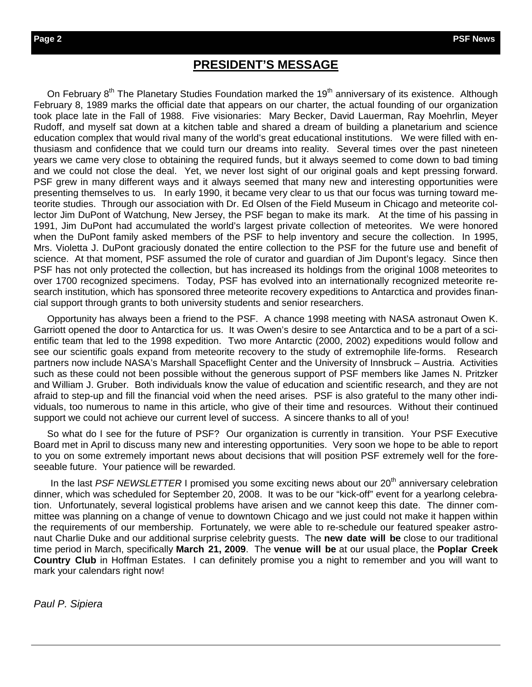## **PRESIDENT'S MESSAGE**

On February 8<sup>th</sup> The Planetary Studies Foundation marked the 19<sup>th</sup> anniversary of its existence. Although February 8, 1989 marks the official date that appears on our charter, the actual founding of our organization took place late in the Fall of 1988. Five visionaries: Mary Becker, David Lauerman, Ray Moehrlin, Meyer Rudoff, and myself sat down at a kitchen table and shared a dream of building a planetarium and science education complex that would rival many of the world's great educational institutions. We were filled with enthusiasm and confidence that we could turn our dreams into reality. Several times over the past nineteen years we came very close to obtaining the required funds, but it always seemed to come down to bad timing and we could not close the deal. Yet, we never lost sight of our original goals and kept pressing forward. PSF grew in many different ways and it always seemed that many new and interesting opportunities were presenting themselves to us. In early 1990, it became very clear to us that our focus was turning toward meteorite studies. Through our association with Dr. Ed Olsen of the Field Museum in Chicago and meteorite collector Jim DuPont of Watchung, New Jersey, the PSF began to make its mark. At the time of his passing in 1991, Jim DuPont had accumulated the world's largest private collection of meteorites. We were honored when the DuPont family asked members of the PSF to help inventory and secure the collection. In 1995, Mrs. Violetta J. DuPont graciously donated the entire collection to the PSF for the future use and benefit of science. At that moment, PSF assumed the role of curator and guardian of Jim Dupont's legacy. Since then PSF has not only protected the collection, but has increased its holdings from the original 1008 meteorites to over 1700 recognized specimens. Today, PSF has evolved into an internationally recognized meteorite research institution, which has sponsored three meteorite recovery expeditions to Antarctica and provides financial support through grants to both university students and senior researchers.

 Opportunity has always been a friend to the PSF. A chance 1998 meeting with NASA astronaut Owen K. Garriott opened the door to Antarctica for us. It was Owen's desire to see Antarctica and to be a part of a scientific team that led to the 1998 expedition. Two more Antarctic (2000, 2002) expeditions would follow and see our scientific goals expand from meteorite recovery to the study of extremophile life-forms. Research partners now include NASA's Marshall Spaceflight Center and the University of Innsbruck – Austria. Activities such as these could not been possible without the generous support of PSF members like James N. Pritzker and William J. Gruber. Both individuals know the value of education and scientific research, and they are not afraid to step-up and fill the financial void when the need arises. PSF is also grateful to the many other individuals, too numerous to name in this article, who give of their time and resources. Without their continued support we could not achieve our current level of success. A sincere thanks to all of you!

So what do I see for the future of PSF? Our organization is currently in transition. Your PSF Executive Board met in April to discuss many new and interesting opportunities. Very soon we hope to be able to report to you on some extremely important news about decisions that will position PSF extremely well for the foreseeable future. Your patience will be rewarded.

In the last PSF NEWSLETTER I promised you some exciting news about our 20<sup>th</sup> anniversary celebration dinner, which was scheduled for September 20, 2008. It was to be our "kick-off" event for a yearlong celebration. Unfortunately, several logistical problems have arisen and we cannot keep this date. The dinner committee was planning on a change of venue to downtown Chicago and we just could not make it happen within the requirements of our membership. Fortunately, we were able to re-schedule our featured speaker astronaut Charlie Duke and our additional surprise celebrity guests. The **new date will be** close to our traditional time period in March, specifically **March 21, 2009**. The **venue will be** at our usual place, the **Poplar Creek Country Club** in Hoffman Estates. I can definitely promise you a night to remember and you will want to mark your calendars right now!

*Paul P. Sipiera*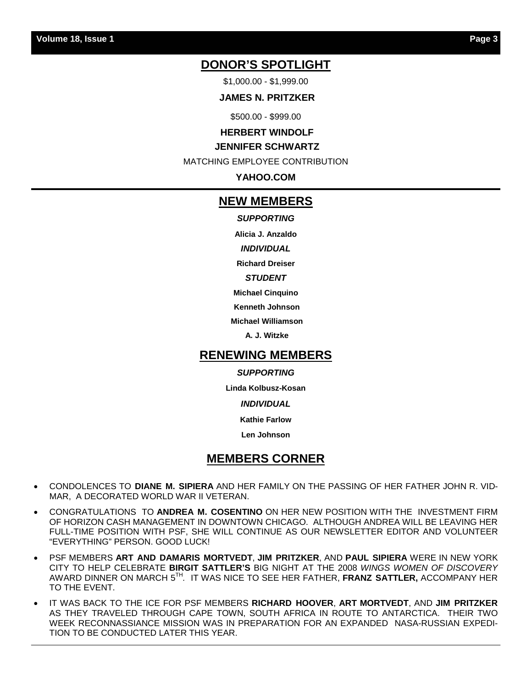## **DONOR'S SPOTLIGHT**

\$1,000.00 - \$1,999.00

 **JAMES N. PRITZKER** 

\$500.00 - \$999.00

#### **HERBERT WINDOLF**

#### **JENNIFER SCHWARTZ**

MATCHING EMPLOYEE CONTRIBUTION

**YAHOO.COM** 

#### **NEW MEMBERS**

*SUPPORTING* 

**Alicia J. Anzaldo** 

*INDIVIDUAL* 

**Richard Dreiser** 

#### *STUDENT*

**Michael Cinquino** 

 **Kenneth Johnson** 

 **Michael Williamson** 

 **A. J. Witzke** 

#### **RENEWING MEMBERS**

#### *SUPPORTING*

**Linda Kolbusz-Kosan** 

*INDIVIDUAL* 

**Kathie Farlow** 

**Len Johnson** 

## **MEMBERS CORNER**

- CONDOLENCES TO **DIANE M. SIPIERA** AND HER FAMILY ON THE PASSING OF HER FATHER JOHN R. VID-MAR, A DECORATED WORLD WAR II VETERAN.
- CONGRATULATIONS TO **ANDREA M. COSENTINO** ON HER NEW POSITION WITH THE INVESTMENT FIRM OF HORIZON CASH MANAGEMENT IN DOWNTOWN CHICAGO. ALTHOUGH ANDREA WILL BE LEAVING HER FULL-TIME POSITION WITH PSF, SHE WILL CONTINUE AS OUR NEWSLETTER EDITOR AND VOLUNTEER "EVERYTHING" PERSON. GOOD LUCK!
- PSF MEMBERS **ART AND DAMARIS MORTVEDT**, **JIM PRITZKER**, AND **PAUL SIPIERA** WERE IN NEW YORK CITY TO HELP CELEBRATE **BIRGIT SATTLER'S** BIG NIGHT AT THE 2008 *WINGS WOMEN OF DISCOVERY*  AWARD DINNER ON MARCH 5TH*.* IT WAS NICE TO SEE HER FATHER, **FRANZ SATTLER,** ACCOMPANY HER TO THE EVENT.
- IT WAS BACK TO THE ICE FOR PSF MEMBERS **RICHARD HOOVER**, **ART MORTVEDT**, AND **JIM PRITZKER** AS THEY TRAVELED THROUGH CAPE TOWN, SOUTH AFRICA IN ROUTE TO ANTARCTICA. THEIR TWO WEEK RECONNASSIANCE MISSION WAS IN PREPARATION FOR AN EXPANDED NASA-RUSSIAN EXPEDI-TION TO BE CONDUCTED LATER THIS YEAR.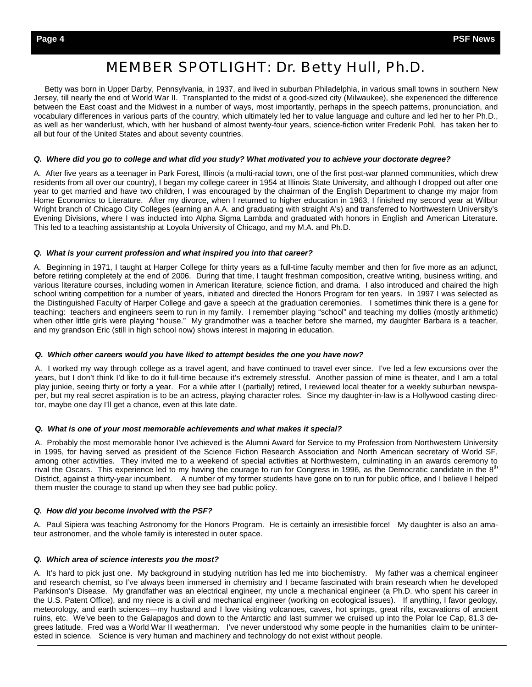## *MEMBER SPOTLIGHT: Dr. Betty Hull, Ph.D.*

 Betty was born in Upper Darby, Pennsylvania, in 1937, and lived in suburban Philadelphia, in various small towns in southern New Jersey, till nearly the end of World War II. Transplanted to the midst of a good-sized city (Milwaukee), she experienced the difference between the East coast and the Midwest in a number of ways, most importantly, perhaps in the speech patterns, pronunciation, and vocabulary differences in various parts of the country, which ultimately led her to value language and culture and led her to her Ph.D., as well as her wanderlust, which, with her husband of almost twenty-four years, science-fiction writer Frederik Pohl, has taken her to all but four of the United States and about seventy countries.

#### *Q. Where did you go to college and what did you study? What motivated you to achieve your doctorate degree?*

A. After five years as a teenager in Park Forest, Illinois (a multi-racial town, one of the first post-war planned communities, which drew residents from all over our country), I began my college career in 1954 at Illinois State University, and although I dropped out after one year to get married and have two children, I was encouraged by the chairman of the English Department to change my major from Home Economics to Literature. After my divorce, when I returned to higher education in 1963, I finished my second year at Wilbur Wright branch of Chicago City Colleges (earning an A.A. and graduating with straight A's) and transferred to Northwestern University's Evening Divisions, where I was inducted into Alpha Sigma Lambda and graduated with honors in English and American Literature. This led to a teaching assistantship at Loyola University of Chicago, and my M.A. and Ph.D.

#### *Q. What is your current profession and what inspired you into that career?*

A. Beginning in 1971, I taught at Harper College for thirty years as a full-time faculty member and then for five more as an adjunct, before retiring completely at the end of 2006. During that time, I taught freshman composition, creative writing, business writing, and various literature courses, including women in American literature, science fiction, and drama. I also introduced and chaired the high school writing competition for a number of years, initiated and directed the Honors Program for ten years. In 1997 I was selected as the Distinguished Faculty of Harper College and gave a speech at the graduation ceremonies. I sometimes think there is a gene for teaching: teachers and engineers seem to run in my family. I remember playing "school" and teaching my dollies (mostly arithmetic) when other little girls were playing "house." My grandmother was a teacher before she married, my daughter Barbara is a teacher, and my grandson Eric (still in high school now) shows interest in majoring in education.

#### *Q. Which other careers would you have liked to attempt besides the one you have now?*

A. I worked my way through college as a travel agent, and have continued to travel ever since. I've led a few excursions over the years, but I don't think I'd like to do it full-time because it's extremely stressful. Another passion of mine is theater, and I am a total play junkie, seeing thirty or forty a year. For a while after I (partially) retired, I reviewed local theater for a weekly suburban newspaper, but my real secret aspiration is to be an actress, playing character roles. Since my daughter-in-law is a Hollywood casting director, maybe one day I'll get a chance, even at this late date.

#### *Q. What is one of your most memorable achievements and what makes it special?*

A. Probably the most memorable honor I've achieved is the Alumni Award for Service to my Profession from Northwestern University in 1995, for having served as president of the Science Fiction Research Association and North American secretary of World SF, among other activities. They invited me to a weekend of special activities at Northwestern, culminating in an awards ceremony to rival the Oscars. This experience led to my having the courage to run for Congress in 1996, as the Democratic candidate in the 8<sup>th</sup> District, against a thirty-year incumbent. A number of my former students have gone on to run for public office, and I believe I helped them muster the courage to stand up when they see bad public policy.

#### *Q. How did you become involved with the PSF?*

A. Paul Sipiera was teaching Astronomy for the Honors Program. He is certainly an irresistible force! My daughter is also an amateur astronomer, and the whole family is interested in outer space.

#### *Q. Which area of science interests you the most?*

A. It's hard to pick just one. My background in studying nutrition has led me into biochemistry. My father was a chemical engineer and research chemist, so I've always been immersed in chemistry and I became fascinated with brain research when he developed Parkinson's Disease. My grandfather was an electrical engineer, my uncle a mechanical engineer (a Ph.D. who spent his career in the U.S. Patent Office), and my niece is a civil and mechanical engineer (working on ecological issues). If anything, I favor geology, meteorology, and earth sciences—my husband and I love visiting volcanoes, caves, hot springs, great rifts, excavations of ancient ruins, etc. We've been to the Galapagos and down to the Antarctic and last summer we cruised up into the Polar Ice Cap, 81.3 degrees latitude. Fred was a World War II weatherman. I've never understood why some people in the humanities claim to be uninterested in science. Science is very human and machinery and technology do not exist without people.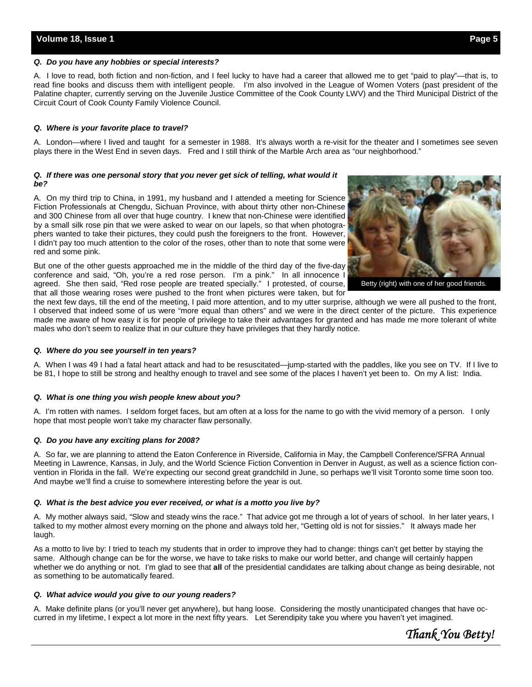#### *Q. Do you have any hobbies or special interests?*

A. I love to read, both fiction and non-fiction, and I feel lucky to have had a career that allowed me to get "paid to play"—that is, to read fine books and discuss them with intelligent people. I'm also involved in the League of Women Voters (past president of the Palatine chapter, currently serving on the Juvenile Justice Committee of the Cook County LWV) and the Third Municipal District of the Circuit Court of Cook County Family Violence Council.

#### *Q. Where is your favorite place to travel?*

A. London—where I lived and taught for a semester in 1988. It's always worth a re-visit for the theater and I sometimes see seven plays there in the West End in seven days. Fred and I still think of the Marble Arch area as "our neighborhood."

#### *Q. If there was one personal story that you never get sick of telling, what would it be?*

A. On my third trip to China, in 1991, my husband and I attended a meeting for Science Fiction Professionals at Chengdu, Sichuan Province, with about thirty other non-Chinese and 300 Chinese from all over that huge country. I knew that non-Chinese were identified by a small silk rose pin that we were asked to wear on our lapels, so that when photographers wanted to take their pictures, they could push the foreigners to the front. However, I didn't pay too much attention to the color of the roses, other than to note that some were red and some pink.

But one of the other guests approached me in the middle of the third day of the five-day conference and said, "Oh, you're a red rose person. I'm a pink." In all innocence I agreed. She then said, "Red rose people are treated specially." I protested, of course, that all those wearing roses were pushed to the front when pictures were taken, but for



Betty (right) with one of her good friends.

the next few days, till the end of the meeting, I paid more attention, and to my utter surprise, although we were all pushed to the front, I observed that indeed some of us were "more equal than others" and we were in the direct center of the picture. This experience made me aware of how easy it is for people of privilege to take their advantages for granted and has made me more tolerant of white males who don't seem to realize that in our culture they have privileges that they hardly notice.

#### *Q. Where do you see yourself in ten years?*

A. When I was 49 I had a fatal heart attack and had to be resuscitated—jump-started with the paddles, like you see on TV. If I live to be 81, I hope to still be strong and healthy enough to travel and see some of the places I haven't yet been to. On my A list: India.

#### *Q. What is one thing you wish people knew about you?*

A. I'm rotten with names. I seldom forget faces, but am often at a loss for the name to go with the vivid memory of a person. I only hope that most people won't take my character flaw personally.

#### *Q. Do you have any exciting plans for 2008?*

A. So far, we are planning to attend the Eaton Conference in Riverside, California in May, the Campbell Conference/SFRA Annual Meeting in Lawrence, Kansas, in July, and the World Science Fiction Convention in Denver in August, as well as a science fiction convention in Florida in the fall. We're expecting our second great grandchild in June, so perhaps we'll visit Toronto some time soon too. And maybe we'll find a cruise to somewhere interesting before the year is out.

#### *Q. What is the best advice you ever received, or what is a motto you live by?*

A. My mother always said, "Slow and steady wins the race." That advice got me through a lot of years of school. In her later years, I talked to my mother almost every morning on the phone and always told her, "Getting old is not for sissies." It always made her laugh.

As a motto to live by: I tried to teach my students that in order to improve they had to change: things can't get better by staying the same. Although change can be for the worse, we have to take risks to make our world better, and change will certainly happen whether we do anything or not. I'm glad to see that **all** of the presidential candidates are talking about change as being desirable, not as something to be automatically feared.

#### *Q. What advice would you give to our young readers?*

A. Make definite plans (or you'll never get anywhere), but hang loose. Considering the mostly unanticipated changes that have occurred in my lifetime, I expect a lot more in the next fifty years. Let Serendipity take you where you haven't yet imagined.

*Thank You Betty!*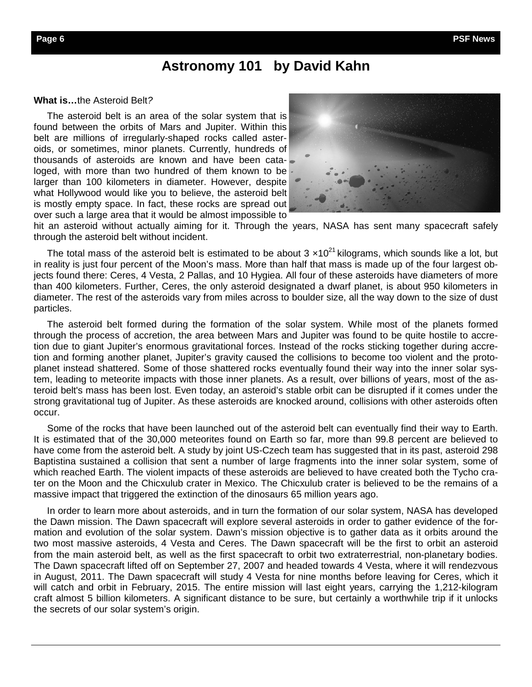## **Astronomy 101 by David Kahn**

#### **What is…**the Asteroid Belt*?*

The asteroid belt is an area of the solar system that is found between the orbits of Mars and Jupiter. Within this belt are millions of irregularly-shaped rocks called asteroids, or sometimes, minor planets. Currently, hundreds of thousands of asteroids are known and have been cataloged, with more than two hundred of them known to be larger than 100 kilometers in diameter. However, despite what Hollywood would like you to believe, the asteroid belt is mostly empty space. In fact, these rocks are spread out over such a large area that it would be almost impossible to



hit an asteroid without actually aiming for it. Through the years, NASA has sent many spacecraft safely through the asteroid belt without incident.

The total mass of the asteroid belt is estimated to be about 3  $\times 10^{21}$  kilograms, which sounds like a lot, but in reality is just four percent of the Moon's mass. More than half that mass is made up of the four largest objects found there: Ceres, 4 Vesta, 2 Pallas, and 10 Hygiea. All four of these asteroids have diameters of more than 400 kilometers. Further, Ceres, the only asteroid designated a dwarf planet, is about 950 kilometers in diameter. The rest of the asteroids vary from miles across to boulder size, all the way down to the size of dust particles.

 The asteroid belt formed during the formation of the solar system. While most of the planets formed through the process of accretion, the area between Mars and Jupiter was found to be quite hostile to accretion due to giant Jupiter's enormous gravitational forces. Instead of the rocks sticking together during accretion and forming another planet, Jupiter's gravity caused the collisions to become too violent and the protoplanet instead shattered. Some of those shattered rocks eventually found their way into the inner solar system, leading to meteorite impacts with those inner planets. As a result, over billions of years, most of the asteroid belt's mass has been lost. Even today, an asteroid's stable orbit can be disrupted if it comes under the strong gravitational tug of Jupiter. As these asteroids are knocked around, collisions with other asteroids often occur.

 Some of the rocks that have been launched out of the asteroid belt can eventually find their way to Earth. It is estimated that of the 30,000 meteorites found on Earth so far, more than 99.8 percent are believed to have come from the asteroid belt. A study by joint US-Czech team has suggested that in its past, asteroid 298 Baptistina sustained a collision that sent a number of large fragments into the inner solar system, some of which reached Earth. The violent impacts of these asteroids are believed to have created both the Tycho crater on the Moon and the Chicxulub crater in Mexico. The Chicxulub crater is believed to be the remains of a massive impact that triggered the extinction of the dinosaurs 65 million years ago.

 In order to learn more about asteroids, and in turn the formation of our solar system, NASA has developed the Dawn mission. The Dawn spacecraft will explore several asteroids in order to gather evidence of the formation and evolution of the solar system. Dawn's mission objective is to gather data as it orbits around the two most massive asteroids, 4 Vesta and Ceres. The Dawn spacecraft will be the first to orbit an asteroid from the main asteroid belt, as well as the first spacecraft to orbit two extraterrestrial, non-planetary bodies. The Dawn spacecraft lifted off on September 27, 2007 and headed towards 4 Vesta, where it will rendezvous in August, 2011. The Dawn spacecraft will study 4 Vesta for nine months before leaving for Ceres, which it will catch and orbit in February, 2015. The entire mission will last eight years, carrying the 1,212-kilogram craft almost 5 billion kilometers. A significant distance to be sure, but certainly a worthwhile trip if it unlocks the secrets of our solar system's origin.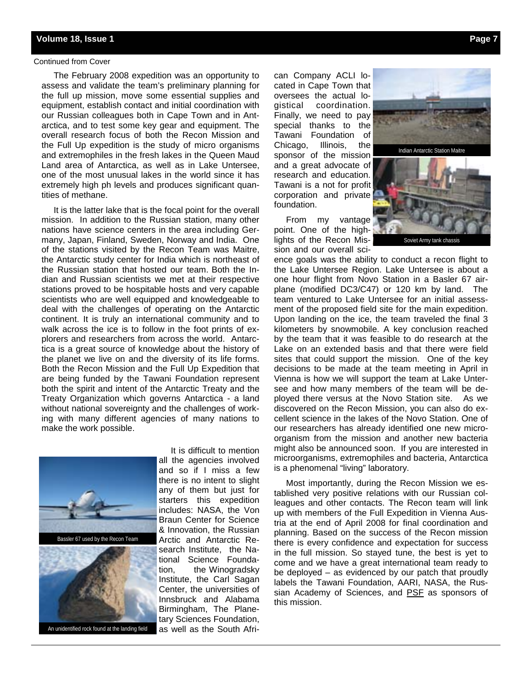#### Continued from Cover

 The February 2008 expedition was an opportunity to assess and validate the team's preliminary planning for the full up mission, move some essential supplies and equipment, establish contact and initial coordination with our Russian colleagues both in Cape Town and in Antarctica, and to test some key gear and equipment. The overall research focus of both the Recon Mission and the Full Up expedition is the study of micro organisms and extremophiles in the fresh lakes in the Queen Maud Land area of Antarctica, as well as in Lake Untersee, one of the most unusual lakes in the world since it has extremely high ph levels and produces significant quantities of methane.

 It is the latter lake that is the focal point for the overall mission. In addition to the Russian station, many other nations have science centers in the area including Germany, Japan, Finland, Sweden, Norway and India. One of the stations visited by the Recon Team was Maitre, the Antarctic study center for India which is northeast of the Russian station that hosted our team. Both the Indian and Russian scientists we met at their respective stations proved to be hospitable hosts and very capable scientists who are well equipped and knowledgeable to deal with the challenges of operating on the Antarctic continent. It is truly an international community and to walk across the ice is to follow in the foot prints of explorers and researchers from across the world. Antarctica is a great source of knowledge about the history of the planet we live on and the diversity of its life forms. Both the Recon Mission and the Full Up Expedition that are being funded by the Tawani Foundation represent both the spirit and intent of the Antarctic Treaty and the Treaty Organization which governs Antarctica - a land without national sovereignty and the challenges of working with many different agencies of many nations to make the work possible.



 It is difficult to mention all the agencies involved and so if I miss a few there is no intent to slight any of them but just for starters this expedition includes: NASA, the Von Braun Center for Science & Innovation, the Russian Arctic and Antarctic Research Institute, the National Science Foundation, the Winogradsky Institute, the Carl Sagan Center, the universities of Innsbruck and Alabama Birmingham, The Planetary Sciences Foundation, as well as the South Afri-

can Company ACLI located in Cape Town that oversees the actual logistical coordination. Finally, we need to pay special thanks to the Tawani Foundation of Chicago, Illinois, the sponsor of the mission and a great advocate of research and education. Tawani is a not for profit corporation and private foundation.

 From my vantage point. One of the highlights of the Recon Mission and our overall sci-



ence goals was the ability to conduct a recon flight to the Lake Untersee Region. Lake Untersee is about a one hour flight from Novo Station in a Basler 67 airplane (modified DC3/C47) or 120 km by land. The team ventured to Lake Untersee for an initial assessment of the proposed field site for the main expedition. Upon landing on the ice, the team traveled the final 3 kilometers by snowmobile. A key conclusion reached by the team that it was feasible to do research at the Lake on an extended basis and that there were field sites that could support the mission. One of the key decisions to be made at the team meeting in April in Vienna is how we will support the team at Lake Untersee and how many members of the team will be deployed there versus at the Novo Station site. As we discovered on the Recon Mission, you can also do excellent science in the lakes of the Novo Station. One of our researchers has already identified one new microorganism from the mission and another new bacteria might also be announced soon. If you are interested in microorganisms, extremophiles and bacteria, Antarctica is a phenomenal "living" laboratory.

 Most importantly, during the Recon Mission we established very positive relations with our Russian colleagues and other contacts. The Recon team will link up with members of the Full Expedition in Vienna Austria at the end of April 2008 for final coordination and planning. Based on the success of the Recon mission there is every confidence and expectation for success in the full mission. So stayed tune, the best is yet to come and we have a great international team ready to be deployed – as evidenced by our patch that proudly labels the Tawani Foundation, AARI, NASA, the Russian Academy of Sciences, and PSF as sponsors of this mission.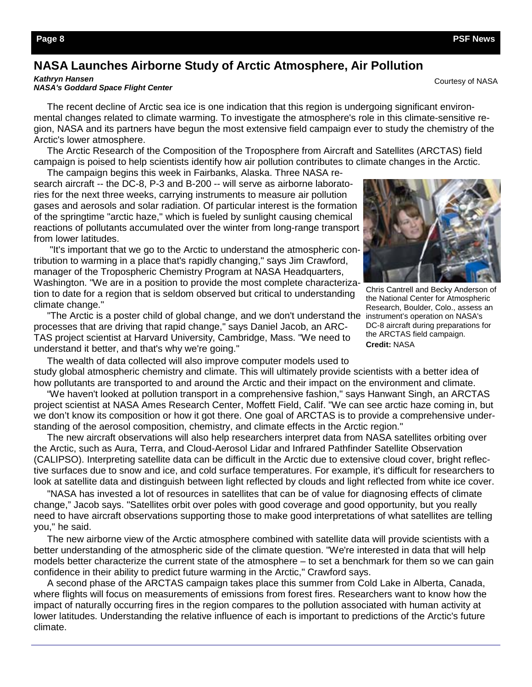## **NASA Launches Airborne Study of Arctic Atmosphere, Air Pollution**

*Kathryn Hansen* 

#### *NASA's Goddard Space Flight Center*

 The recent decline of Arctic sea ice is one indication that this region is undergoing significant environmental changes related to climate warming. To investigate the atmosphere's role in this climate-sensitive region, NASA and its partners have begun the most extensive field campaign ever to study the chemistry of the Arctic's lower atmosphere.

 The Arctic Research of the Composition of the Troposphere from Aircraft and Satellites (ARCTAS) field campaign is poised to help scientists identify how air pollution contributes to climate changes in the Arctic.

 The campaign begins this week in Fairbanks, Alaska. Three NASA research aircraft -- the DC-8, P-3 and B-200 -- will serve as airborne laboratories for the next three weeks, carrying instruments to measure air pollution gases and aerosols and solar radiation. Of particular interest is the formation of the springtime "arctic haze," which is fueled by sunlight causing chemical reactions of pollutants accumulated over the winter from long-range transport from lower latitudes.

 "It's important that we go to the Arctic to understand the atmospheric contribution to warming in a place that's rapidly changing," says Jim Crawford, manager of the Tropospheric Chemistry Program at NASA Headquarters, Washington. "We are in a position to provide the most complete characterization to date for a region that is seldom observed but critical to understanding climate change."

 "The Arctic is a poster child of global change, and we don't understand the processes that are driving that rapid change," says Daniel Jacob, an ARC-TAS project scientist at Harvard University, Cambridge, Mass. "We need to understand it better, and that's why we're going."

 The wealth of data collected will also improve computer models used to study global atmospheric chemistry and climate. This will ultimately provide scientists with a better idea of how pollutants are transported to and around the Arctic and their impact on the environment and climate.

 "We haven't looked at pollution transport in a comprehensive fashion," says Hanwant Singh, an ARCTAS project scientist at NASA Ames Research Center, Moffett Field, Calif. "We can see arctic haze coming in, but we don't know its composition or how it got there. One goal of ARCTAS is to provide a comprehensive understanding of the aerosol composition, chemistry, and climate effects in the Arctic region."

 The new aircraft observations will also help researchers interpret data from NASA satellites orbiting over the Arctic, such as Aura, Terra, and Cloud-Aerosol Lidar and Infrared Pathfinder Satellite Observation (CALIPSO). Interpreting satellite data can be difficult in the Arctic due to extensive cloud cover, bright reflective surfaces due to snow and ice, and cold surface temperatures. For example, it's difficult for researchers to look at satellite data and distinguish between light reflected by clouds and light reflected from white ice cover.

 "NASA has invested a lot of resources in satellites that can be of value for diagnosing effects of climate change," Jacob says. "Satellites orbit over poles with good coverage and good opportunity, but you really need to have aircraft observations supporting those to make good interpretations of what satellites are telling you," he said.

 The new airborne view of the Arctic atmosphere combined with satellite data will provide scientists with a better understanding of the atmospheric side of the climate question. "We're interested in data that will help models better characterize the current state of the atmosphere – to set a benchmark for them so we can gain confidence in their ability to predict future warming in the Arctic," Crawford says.

 A second phase of the ARCTAS campaign takes place this summer from Cold Lake in Alberta, Canada, where flights will focus on measurements of emissions from forest fires. Researchers want to know how the impact of naturally occurring fires in the region compares to the pollution associated with human activity at lower latitudes. Understanding the relative influence of each is important to predictions of the Arctic's future climate.



Chris Cantrell and Becky Anderson of the National Center for Atmospheric Research, Boulder, Colo., assess an instrument's operation on NASA's DC-8 aircraft during preparations for the ARCTAS field campaign. **Credit:** NASA

Courtesy of NASA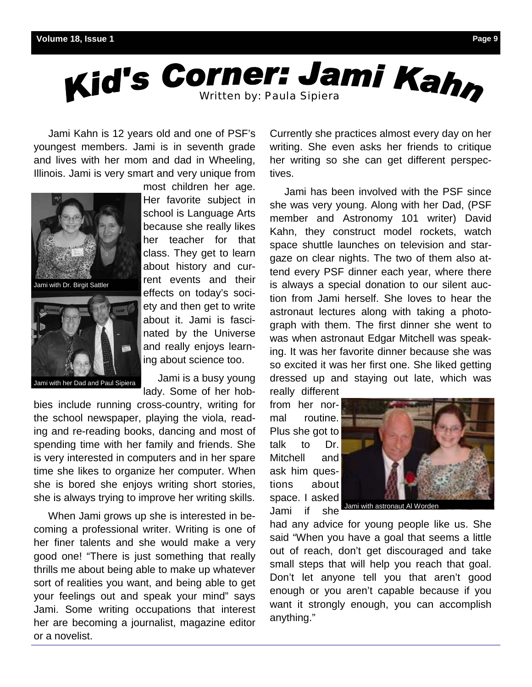

 Jami Kahn is 12 years old and one of PSF's youngest members. Jami is in seventh grade and lives with her mom and dad in Wheeling, Illinois. Jami is very smart and very unique from



most children her age. Her favorite subject in school is Language Arts because she really likes her teacher for that class. They get to learn about history and current events and their effects on today's society and then get to write about it. Jami is fascinated by the Universe and really enjoys learning about science too.

Jami with her Dad and Paul Sipiera

 Jami is a busy young lady. Some of her hob-

bies include running cross-country, writing for the school newspaper, playing the viola, reading and re-reading books, dancing and most of spending time with her family and friends. She is very interested in computers and in her spare time she likes to organize her computer. When she is bored she enjoys writing short stories, she is always trying to improve her writing skills.

 When Jami grows up she is interested in becoming a professional writer. Writing is one of her finer talents and she would make a very good one! "There is just something that really thrills me about being able to make up whatever sort of realities you want, and being able to get your feelings out and speak your mind" says Jami. Some writing occupations that interest her are becoming a journalist, magazine editor or a novelist.

Currently she practices almost every day on her writing. She even asks her friends to critique her writing so she can get different perspectives.

 Jami has been involved with the PSF since she was very young. Along with her Dad, (PSF member and Astronomy 101 writer) David Kahn, they construct model rockets, watch space shuttle launches on television and stargaze on clear nights. The two of them also attend every PSF dinner each year, where there is always a special donation to our silent auction from Jami herself. She loves to hear the astronaut lectures along with taking a photograph with them. The first dinner she went to was when astronaut Edgar Mitchell was speaking. It was her favorite dinner because she was so excited it was her first one. She liked getting dressed up and staying out late, which was really different

from her normal routine. Plus she got to talk to Dr. Mitchell and ask him questions about space. I asked Jami if she



Jami with astronaut Al Worden

had any advice for young people like us. She said "When you have a goal that seems a little out of reach, don't get discouraged and take small steps that will help you reach that goal. Don't let anyone tell you that aren't good enough or you aren't capable because if you want it strongly enough, you can accomplish anything."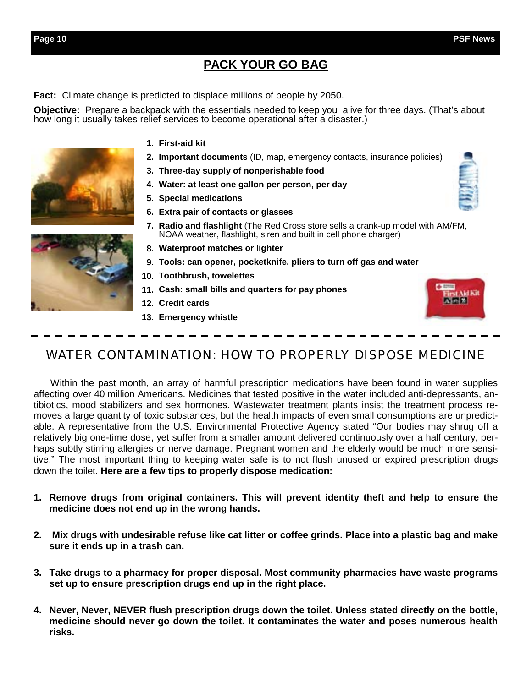## **PACK YOUR GO BAG**

**Fact:** Climate change is predicted to displace millions of people by 2050.

**Objective:** Prepare a backpack with the essentials needed to keep you alive for three days. (That's about how long it usually takes relief services to become operational after a disaster.)

- **First-aid kit 1.**
- **Important documents** (ID, map, emergency contacts, insurance policies) **2.**
- **Three-day supply of nonperishable food 3.**
- **Water: at least one gallon per person, per day 4.**
- **Special medications 5.**
- **Extra pair of contacts or glasses 6.**
- **Radio and flashlight** (The Red Cross store sells a crank-up model with AM/FM, **7.**  NOAA weather, flashlight, siren and built in cell phone charger)
- **Waterproof matches or lighter 8.**
- **Tools: can opener, pocketknife, pliers to turn off gas and water 9.**
- **Toothbrush, towelettes 10.**
- **Cash: small bills and quarters for pay phones 11.**
- **Credit cards 12.**
- **Emergency whistle 13.**



Within the past month, an array of harmful prescription medications have been found in water supplies affecting over 40 million Americans. Medicines that tested positive in the water included anti-depressants, antibiotics, mood stabilizers and sex hormones. Wastewater treatment plants insist the treatment process removes a large quantity of toxic substances, but the health impacts of even small consumptions are unpredictable. A representative from the U.S. Environmental Protective Agency stated "Our bodies may shrug off a relatively big one-time dose, yet suffer from a smaller amount delivered continuously over a half century, perhaps subtly stirring allergies or nerve damage. Pregnant women and the elderly would be much more sensitive." The most important thing to keeping water safe is to not flush unused or expired prescription drugs down the toilet. **Here are a few tips to properly dispose medication:** 

- **1. Remove drugs from original containers. This will prevent identity theft and help to ensure the medicine does not end up in the wrong hands.**
- **2. Mix drugs with undesirable refuse like cat litter or coffee grinds. Place into a plastic bag and make sure it ends up in a trash can.**
- **3. Take drugs to a pharmacy for proper disposal. Most community pharmacies have waste programs set up to ensure prescription drugs end up in the right place.**
- **4. Never, Never, NEVER flush prescription drugs down the toilet. Unless stated directly on the bottle, medicine should never go down the toilet. It contaminates the water and poses numerous health risks.**



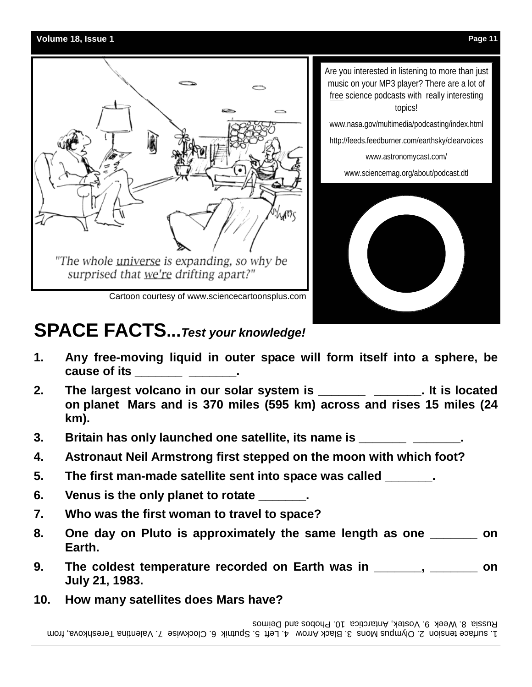

# **SPACE FACTS...***Test your knowledge!*

- **1. Any free-moving liquid in outer space will form itself into a sphere, be cause of its with a cause of its**
- 2. The largest volcano in our solar system is \_\_\_\_\_\_\_\_\_\_\_\_\_\_\_\_\_. It is located  **on planet Mars and is 370 miles (595 km) across and rises 15 miles (24 km).**
- **3.** Britain has only launched one satellite, its name is \_\_\_\_\_\_\_\_\_\_\_\_\_\_\_\_.
- **4. Astronaut Neil Armstrong first stepped on the moon with which foot?**
- **5. The first man-made satellite sent into space was called \_\_\_\_\_\_\_.**
- **6. Venus is the only planet to rotate \_\_\_\_\_\_\_.**
- **7. Who was the first woman to travel to space?**
- **8. One day on Pluto is approximately the same length as one \_\_\_\_\_\_\_ on Earth.**
- **9. The coldest temperature recorded on Earth was in \_\_\_\_\_\_\_, \_\_\_\_\_\_\_ on July 21, 1983.**
- **10. How many satellites does Mars have?**